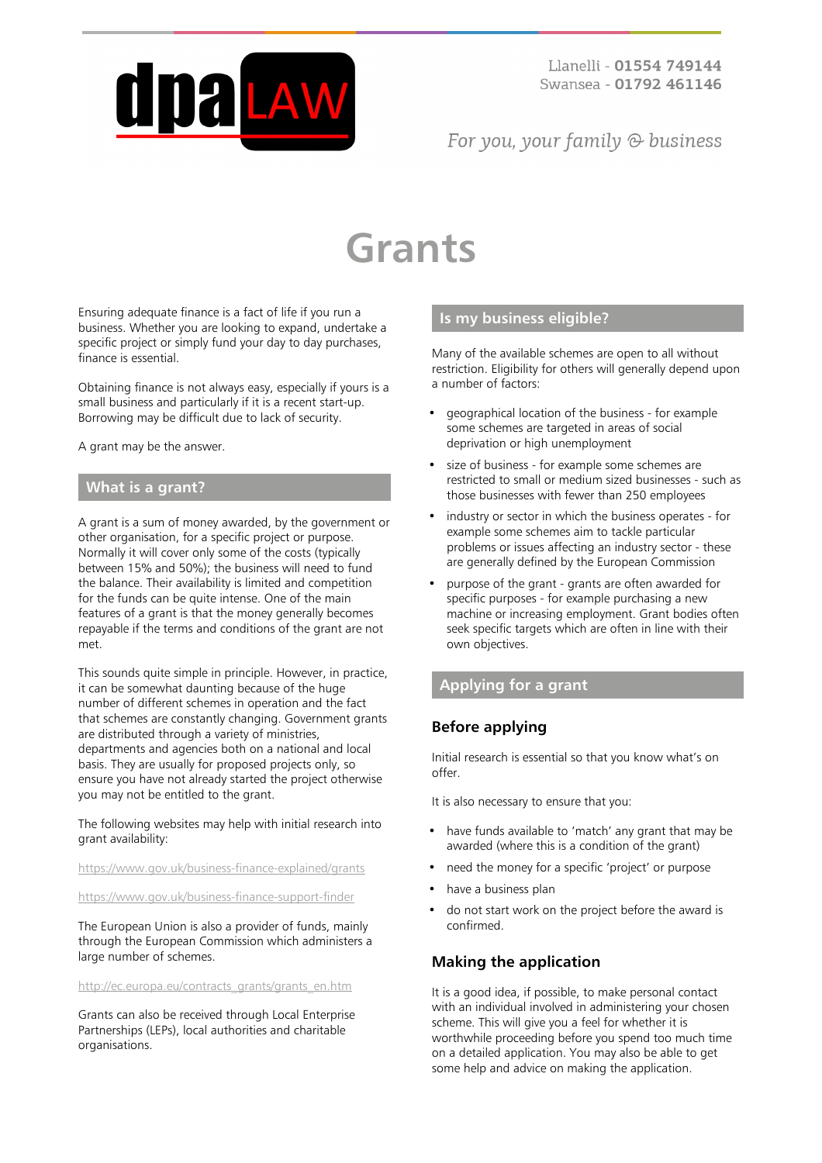

## For you, your family  $\odot$  business

# **Grants**

Ensuring adequate finance is a fact of life if you run a business. Whether you are looking to expand, undertake a specific project or simply fund your day to day purchases, finance is essential.

Obtaining finance is not always easy, especially if yours is a small business and particularly if it is a recent start-up. Borrowing may be difficult due to lack of security.

A grant may be the answer.

#### **What is a grant?**

A grant is a sum of money awarded, by the government or other organisation, for a specific project or purpose. Normally it will cover only some of the costs (typically between 15% and 50%); the business will need to fund the balance. Their availability is limited and competition for the funds can be quite intense. One of the main features of a grant is that the money generally becomes repayable if the terms and conditions of the grant are not met.

This sounds quite simple in principle. However, in practice, it can be somewhat daunting because of the huge number of different schemes in operation and the fact that schemes are constantly changing. Government grants are distributed through a variety of ministries, departments and agencies both on a national and local basis. They are usually for proposed projects only, so ensure you have not already started the project otherwise you may not be entitled to the grant.

#### The following websites may help with initial research into grant availability:

<https://www.gov.uk/business-finance-explained/grants>

<https://www.gov.uk/business-finance-support-finder>

The European Union is also a provider of funds, mainly through the European Commission which administers a large number of schemes.

[http://ec.europa.eu/contracts\\_grants/grants\\_en.htm](http://ec.europa.eu/contracts_grants/grants_en.htm)

Grants can also be received through Local Enterprise Partnerships (LEPs), local authorities and charitable organisations.

#### **Is my business eligible?**

Many of the available schemes are open to all without restriction. Eligibility for others will generally depend upon a number of factors:

- geographical location of the business for example some schemes are targeted in areas of social deprivation or high unemployment
- size of business for example some schemes are restricted to small or medium sized businesses - such as those businesses with fewer than 250 employees
- industry or sector in which the business operates for example some schemes aim to tackle particular problems or issues affecting an industry sector - these are generally defined by the European Commission
- purpose of the grant grants are often awarded for specific purposes - for example purchasing a new machine or increasing employment. Grant bodies often seek specific targets which are often in line with their own objectives.

#### **Applying for a grant**

#### **Before applying**

Initial research is essential so that you know what's on offer.

It is also necessary to ensure that you:

- have funds available to 'match' any grant that may be awarded (where this is a condition of the grant)
- need the money for a specific 'project' or purpose
- have a business plan
- do not start work on the project before the award is confirmed.

#### **Making the application**

It is a good idea, if possible, to make personal contact with an individual involved in administering your chosen scheme. This will give you a feel for whether it is worthwhile proceeding before you spend too much time on a detailed application. You may also be able to get some help and advice on making the application.